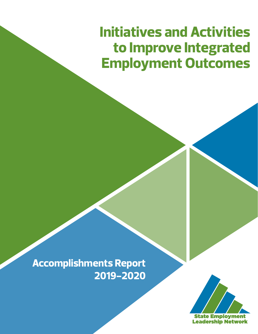# **Initiatives and Activities to Improve Integrated Employment Outcomes**

**Accomplishments Report 2019-2020**

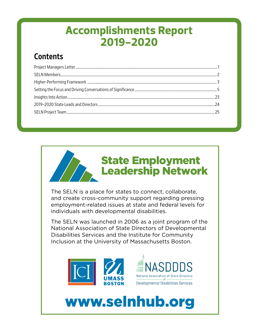# **Accomplishments Report 2019-2020**

## **Contents**



The SELN is a place for states to connect, collaborate, and create cross-community support regarding pressing employment-related issues at state and federal levels for individuals with developmental disabilities.

The SELN was launched in 2006 as a joint program of the National Association of State Directors of Developmental Disabilities Services and the Institute for Community Inclusion at the University of Massachusetts Boston.





# [www.selnhub.org](http://www.selnhub.org)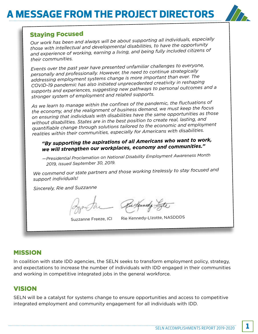# **MESSAGE FROM THE PROJECT DIRECT**



## Staying Focused

*Our work has been and always will be about supporting all individuals, especially those with intellectual and developmental disabilities, to have the opportunity and experience of working, earning a living, and being fully included citizens of their communities.*

*Events over the past year have presented unfamiliar challenges to everyone, personally and professionally. However, the need to continue strategically addressing employment systems change is more important than ever. The COVID-19 pandemic has also initiated unprecedented creativity in reshaping supports and experiences, suggesting new pathways to personal outcomes and a stronger system of employment and related supports.*

*As we learn to manage within the confines of the pandemic, the fluctuations of the economy, and the realignment of business demand, we must keep the focus on ensuring that individuals with disabilities have the same opportunities as those without disabilities. States are in the best position to create real, lasting, and quantifiable change through solutions tailored to the economic and employment realities within their communities, especially for Americans with disabilities.*

## *"By supporting the aspirations of all Americans who want to work, we will strengthen our workplaces, economy and communities."*

*— Presidential Proclamation on National Disability Employment Awareness Month 2019, issued September 30, 2019.*

*We commend our state partners and those working tirelessly to stay focused and support individuals!*

*Sincerely, Rie and Suzzanne*

Rickmady Fight

Suzzanne Freeze, ICI Rie Kennedy-LIzotte, NASDDDS

## MISSION

In coalition with state IDD agencies, the SELN seeks to transform employment policy, strategy, and expectations to increase the number of individuals with IDD engaged in their communities and working in competitive integrated jobs in the general workforce.

## VISION

SELN will be a catalyst for systems change to ensure opportunities and access to competitive integrated employment and community engagement for all individuals with IDD.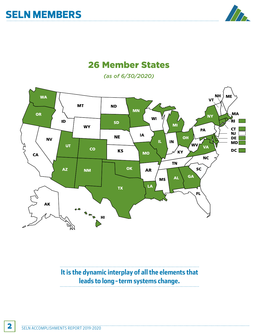

## 26 Member States

*(as of 6/30/2020)*



**It is the dynamic interplay of all the elements that leads to long-term systems change.**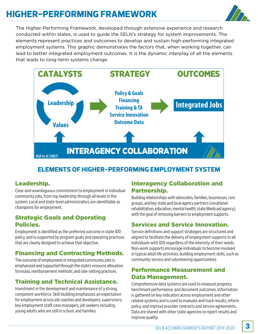# **HIGHER-PERFORMING FRAMEWORK**



The Higher-Performing Framework, developed through extensive experience and research conducted within states, is used to guide the SELN's strategy for system improvements. The elements represent practices and outcomes to develop and sustain high-performing integrated employment systems. This graphic demonstrates the factors that, when working together, can lead to better integrated employment outcomes. It is the dynamic interplay of all the elements that leads to long-term systems change.



## **ELEMENTS OF HIGHER-PERFORMING EMPLOYMENT SYSTEM**

## Leadership.

Clear and unambiguous commitment to employment in individual community jobs, from top leadership through all levels in the system. Local and state-level administrators are identifiable as champions for employment.

## Strategic Goals and Operating Policies.

Employment is identified as the preferred outcome in state IDD policy, and is supported by program goals and operating practices that are clearly designed to achieve that objective.

## Financing and Contracting Methods.

The outcome of employment in integrated community jobs is emphasized and supported through the state's resource allocation formulas, reimbursement methods, and rate-setting practices.

## Training and Technical Assistance.

Investment in the development and maintenance of a strong, competent workforce. Skill-building emphasizes an expectation for employment across job coaches and developers, supervisors, key employment staff, case managers, job seekers including young adults who are still in school, and families.

## Interagency Collaboration and Partnership.

Building relationships with advocates, families, businesses, civic groups, and key state and local agency partners (vocational rehabilitation, education, mental health, state Medicaid agency), with the goal of removing barriers to employment supports.

## Services and Service Innovation.

Service definitions and support strategies are structured and aligned to facilitate the delivery of employment supports to all individuals with IDD regardless of the intensity of their needs. Non-work supports encourage individuals to become involved in typical adult life activities, building employment skills, such as community service and volunteering opportunities.

## Performance Measurement and Data Management.

Comprehensive data systems are used to measure progress, benchmark performance, and document outcomes. Information is gathered on key indicators across employment and other related systems and is used to evaluate and track results, inform policy, and improve provider contracts and service agreements. Data are shared with other state agencies to report results and improve quality.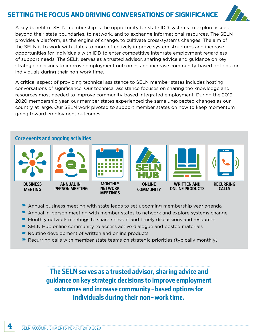## **NG THE FOCUS AND DRIVING CONVERSATIONS OF SIGNIFICANCE**



A key benefit of SELN membership is the opportunity for state IDD systems to explore issues beyond their state boundaries, to network, and to exchange informational resources. The SELN provides a platform, as the engine of change, to cultivate cross-systems changes. The aim of the SELN is to work with states to more effectively improve system structures and increase opportunities for individuals with IDD to enter competitive integrate employment regardless of support needs. The SELN serves as a trusted advisor, sharing advice and guidance on key strategic decisions to improve employment outcomes and increase community-based options for individuals during their non-work time.

A critical aspect of providing technical assistance to SELN member states includes hosting conversations of significance. Our technical assistance focuses on sharing the knowledge and resources most needed to improve community-based integrated employment. During the 2019– 2020 membership year, our member states experienced the same unexpected changes as our country at large. Our SELN work pivoted to support member states on how to keep momentum going toward employment outcomes.

## Core events and ongoing activities



- Annual business meeting with state leads to set upcoming membership year agenda
- Annual in-person meeting with member states to network and explore systems change
- Monthly network meetings to share relevant and timely discussions and resources
- **SELN Hub online community to access active dialogue and posted materials**
- $\blacktriangleright$  Routine development of written and online products
- $\blacktriangleright$  Recurring calls with member state teams on strategic priorities (typically monthly)

**The SELN serves as a trusted advisor, sharing advice and guidance on key strategic decisions to improve employment outcomes and increase community-based options for individuals during their non-work time.**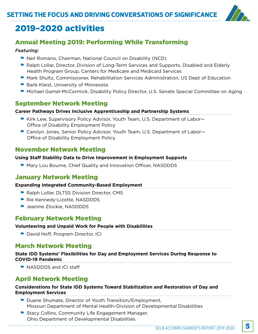

## 2019–2020 activities

## Annual Meeting 2019: Performing While Transforming

#### *Featuring:*

- Neil Romano, Chairman, National Council on Disability (NCD)
- Ralph Lollar, Director, Division of Long-Term Services and Supports, Disabled and Elderly Health Program Group, Centers for Medicare and Medicaid Services
- **Mark Shultz, Commissioner, Rehabilitation Services Administration, US Dept of Education**
- **Barb Kleist, University of Minnesota**
- **Michael Gamel-McCormick, Disability Policy Director, U.S. Senate Special Committee on Aging**

## September Network Meeting

#### **Career Pathways Drives Inclusive Apprenticeship and Partnership Systems**

- Kirk Lew, Supervisory Policy Advisor, Youth Team, U.S. Department of Labor— Office of Disability Employment Policy
- Carolyn Jones, Senior Policy Advisor, Youth Team, U.S. Department of Labor-Office of Disability Employment Policy

## November Network Meeting

#### **Using Staff Stability Data to Drive Improvement in Employment Supports**

**• Mary Lou Bourne, Chief Quality and Innovation Officer, NASDDDS** 

## January Network Meeting

#### **Expanding Integrated Community-Based Employment**

- Ralph Lollar, DLTSS Division Director, CMS
- Rie Kennedy-Lizotte, NASDDDS
- **D** Jeanine Zlockie, NASDDDS

## February Network Meeting

#### **Volunteering and Unpaid Work for People with Disabilities**

David Hoff, Program Director, ICI

## March Network Meeting

#### **State IDD Systems' Flexibilities for Day and Employment Services During Response to COVID-19 Pandemic**

• NASDDDS and ICI staff

## April Network Meeting

#### **Considerations for State IDD Systems Toward Stabilization and Restoration of Day and Employment Services**

- Duane Shumate, Director of Youth Transition/Employment, Missouri Department of Mental Health–Division of Developmental Disabilities
- **Stacy Collins, Community Life Engagement Manager,** Ohio Department of Developmental Disabilities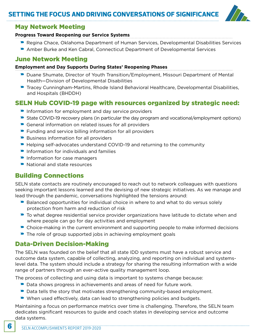## **NG THE FOCUS AND DRIVING CONVERSATIONS OF SIGNIFICANCE**



### May Network Meeting

#### **Progress Toward Reopening our Service Systems**

- **Regina Chace, Oklahoma Department of Human Services, Developmental Disabilities Services**
- Amber Burke and Ken Cabral, Connecticut Department of Developmental Services

## June Network Meeting

#### **Employment and Day Supports During States' Reopening Phases**

- Duane Shumate, Director of Youth Transition/Employment, Missouri Department of Mental Health—Division of Developmental Disabilities
- **Tracey Cunningham-Martins, Rhode Island Behavioral Healthcare, Developmental Disabilities,** and Hospitals (BHDDH)

## SELN Hub COVID-19 page with resources organized by strategic need:

- $\blacktriangleright$  Information for employment and day service providers
- State COVID-19 recovery plans (in particular the day program and vocational/employment options)
- $\blacktriangleright$  General information on related issues for all providers
- $\blacktriangleright$  Funding and service billing information for all providers
- $\blacktriangleright$  Business information for all providers
- Helping self-advocates understand COVID-19 and returning to the community
- $\blacksquare$  Information for individuals and families
- $\blacksquare$  Information for case managers
- $\blacktriangleright$  National and state resources

## Building Connections

SELN state contacts are routinely encouraged to reach out to network colleagues with questions seeking important lessons learned and the devising of new strategic initiatives. As we manage and lead through the pandemic, conversations highlighted the tensions around:

- $\blacktriangleright$  Balanced opportunities for individual choice in where to and what to do versus solely protection from harm and reduction of risk
- $\blacktriangleright$  To what degree residential service provider organizations have latitude to dictate when and where people can go for day activities and employment
- Choice-making in the current environment and supporting people to make informed decisions
- $\blacktriangleright$  The role of group supported jobs in achieving employment goals

## Data-Driven Decision-Making

The SELN was founded on the belief that all state IDD systems must have a robust service and outcome data system, capable of collecting, analyzing, and reporting on individual and systemslevel data. The system should include a strategy for sharing the resulting information with a wide range of partners through an ever-active quality management loop.

The process of collecting and using data is important to systems change because:

- Data shows progress in achievements and areas of need for future work.
- $\blacktriangleright$  Data tells the story that motivates strengthening community-based employment.
- $\blacktriangleright$  When used effectively, data can lead to strengthening policies and budgets.

Maintaining a focus on performance metrics over time is challenging. Therefore, the SELN team dedicates significant resources to guide and coach states in developing service and outcome data systems.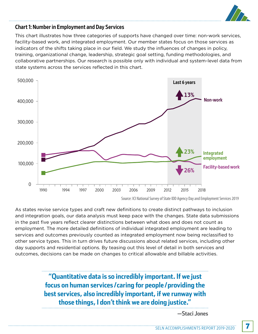

## Chart 1: Number in Employment and Day Services

This chart illustrates how three categories of supports have changed over time: non-work services, facility-based work, and integrated employment. Our member states focus on those services as indicators of the shifts taking place in our field. We study the influences of changes in policy, training, organizational change, leadership, strategic goal setting, funding methodologies, and collaborative partnerships. Our research is possible only with individual and system-level data from state systems across the services reflected in this chart.



Source: ICI National Survey of State IDD Agency Day and Employment Services 2019

As states revise service types and craft new definitions to create distinct pathways to inclusion and integration goals, our data analysis must keep pace with the changes. State data submissions in the past five years reflect clearer distinctions between what does and does not count as employment. The more detailed definitions of individual integrated employment are leading to services and outcomes previously counted as integrated employment now being reclassified to other service types. This in turn drives future discussions about related services, including other day supports and residential options. By teasing out this level of detail in both services and outcomes, decisions can be made on changes to critical allowable and billable activities.

> **"Quantitative data is so incredibly important. If we just focus on human services/caring for people/providing the best services, also incredibly important, if we runway with those things, I don't think we are doing justice."**

> > **—Staci Jones**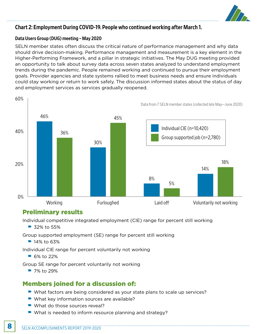

## Chart 2: Employment During COVID-19. People who continued working after March 1.

#### Data Users Group (DUG) meeting – May 2020

SELN member states often discuss the critical nature of performance management and why data should drive decision-making. Performance management and measurement is a key element in the Higher-Performing Framework, and a pillar in strategic initiatives. The May DUG meeting provided an opportunity to talk about survey data across seven states analyzed to understand employment trends during the pandemic. People remained working and continued to pursue their employment goals. Provider agencies and state systems rallied to meet business needs and ensure individuals could stay working or return to work safely. The discussion informed states about the status of day and employment services as services gradually reopened.



## Preliminary results

Individual competitive integrated employment (CIE) range for percent still working

 $\triangleright$  32% to 55%

Group supported employment (SE) range for percent still working

 $\blacksquare$  14% to 63%

Individual CIE range for percent voluntarily not working

 $\triangleright$  6% to 22%

Group SE range for percent voluntarily not working

 $29%$  7% to 29%

## Members joined for a discussion of:

- What factors are being considered as your state plans to scale up services?
- $\blacktriangleright$  What key information sources are available?
- What do those sources reveal?
- $\blacktriangleright$  What is needed to inform resource planning and strategy?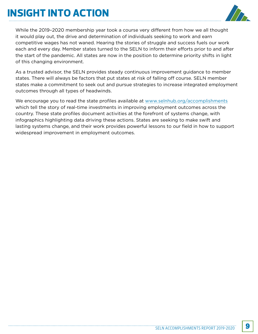# **INSIGHT INTO ACTION**



While the 2019–2020 membership year took a course very different from how we all thought it would play out, the drive and determination of individuals seeking to work and earn competitive wages has not waned. Hearing the stories of struggle and success fuels our work each and every day. Member states turned to the SELN to inform their efforts prior to and after the start of the pandemic. All states are now in the position to determine priority shifts in light of this changing environment.

As a trusted advisor, the SELN provides steady continuous improvement guidance to member states. There will always be factors that put states at risk of falling off course. SELN member states make a commitment to seek out and pursue strategies to increase integrated employment outcomes through all types of headwinds.

We encourage you to read the state profiles available at [www.selnhub.org/accomplishments](http://www.selnhub.org/accomplishments) which tell the story of real-time investments in improving employment outcomes across the country. These state profiles document activities at the forefront of systems change, with infographics highlighting data driving these actions. States are seeking to make swift and lasting systems change, and their work provides powerful lessons to our field in how to support widespread improvement in employment outcomes.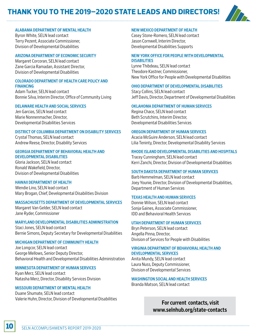## **THANK YOU TO THE 2019–2020 STATE LEADS AND DIRECTORS!**



#### [ALABAMA DEPARTMENT OF MENTAL HEALTH](http://www.mh.alabama.gov/ID/)

Byron White, SELN lead contact Terry Pezent, Associate Commissioner, Division of Developmental Disabilities

#### [ARIZONA DEPARTMENT OF ECONOMIC SECURITY](https://www.azdes.gov/developmental_disabilities)

Margaret Corcoran, SELN lead contact Zane Garcia Ramadan, Assistant Director, Division of Developmental Disabilities

#### [COLORADO DEPARTMENT OF HEALTH CARE POLICY AND](https://www.colorado.gov/hcpf)  [FINANCING](https://www.colorado.gov/hcpf)

Adam Tucker, SELN lead contact Bonnie Silva, Interim Director, Office of Community Living

#### [DELAWARE HEALTH AND SOCIAL SERVICES](http://dhss.delaware.gov/dhss/ddds)

Jen Garcias, SELN lead contact Marie Nonnenmacher, Director, Developmental Disabilities Services

#### [DISTRICT OF COLUMBIA DEPARTMENT ON DISABILITY SERVICES](https://dds.dc.gov/)

Crystal Thomas, SELN lead contact Andrew Reese, Director, Disability Services

#### [GEORGIA DEPARTMENT OF BEHAVIORAL HEALTH AND](http://dbhdd.georgia.gov/developmental-disabilities)  [DEVELOPMENTAL DISABILITIES](http://dbhdd.georgia.gov/developmental-disabilities)

Gloria Jackson, SELN lead contact Ronald Wakefield, Director, Division of Developmental Disabilities

### [HAWAII DEPARTMENT OF HEALTH](http://health.hawaii.gov/ddd/)

Wendie Lino, SELN lead contact Mary Brogan, Chief, Developmental Disabilities Division

#### [MASSACHUSETTS DEPARTMENT OF DEVELOPMENTAL SERVICES](http://www.mass.gov/eohhs/gov/departments/dds)

Margaret Van Gelder, SELN lead contact Jane Ryder, Commissioner

### [MARYLAND DEVELOPMENTAL DISABILITIES ADMINISTRATION](http://mdod.maryland.gov/Pages/Home.aspx)

Staci Jones, SELN lead contact Bernie Simons, Deputy Secretary for Developmental Disabilities

#### [MICHIGAN DEPARTMENT OF COMMUNITY HEALTH](http://www.michigan.gov/mdch/0,4612,7-132-2941---,00.html)

Joe Longcor, SELN lead contact George Mellows, Senior Deputy Director, Behavioral Health and Developmental Disabilities Administration

### [MINNESOTA DEPARTMENT OF HUMAN SERVICES](http://mn.gov/dhs/people-we-serve/people-with-disabilities)

Ryan Merz, SELN lead contact Natasha Merz, Director, Disability Services Division

## [MISSOURI DEPARTMENT OF MENTAL HEALTH](http://dmh.mo.gov/dd)

Duane Shumate, SELN lead contact Valerie Huhn, Director, Division of Developmental Disabilities

## [NEW MEXICO DEPARTMENT OF HEALTH](http://nmhealth.org/about/ddsd)

Casey Stone-Romero, SELN lead contact Jason Cornwell, Interim Director, Developmental Disabilities Supports

#### [NEW YORK OFFICE FOR PEOPLE WITH DEVELOPMENTAL](http://www.opwdd.ny.gov/)  **[DISABILITIES](http://www.opwdd.ny.gov/)**

Lynne Thibdeau, SELN lead contact Theodore Kastner, Commissioner, New York Office for People with Developmental Disabilities

#### [OHIO DEPARTMENT OF DEVELOPMENTAL DISABILITIES](http://dodd.ohio.gov/Pages/default.aspx)

Stacy Collins, SELN lead contact Jeff Davis, Director, Department of Developmental Disabilities

#### [OKLAHOMA DEPARTMENT OF HUMAN SERVICES](http://www.okdhs.org/services/dd/Pages/default.aspx)

Regina Chace, SELN lead contact Beth Scrutchins, Interim Director, Developmental Disabilities Services

#### [OREGON DEPARTMENT OF HUMAN SERVICES](http://www.oregon.gov/dhs/DD/Pages/index.aspx)

Acacia McGuire Anderson, SELN lead contact Lilia Teninty, Director, Developmental Disability Services

#### [RHODE ISLAND DEVELOPMENTAL DISABILITIES AND HOSPITALS](http://www.bhddh.ri.gov/)

Tracey Cunningham, SELN lead contact Kerri Zanchi, Director, Division of Developmental Disabilities

#### [SOUTH DAKOTA DEPARTMENT OF HUMAN SERVICES](http://dhs.sd.gov/developmentaldisabilities/default.aspx)

Barb Hemmelman, SELN lead contact Joey Younie, Director, Division of Developmental Disabilities, Department of Human Services

#### [TEXAS HEALTH AND HUMAN SERVICES](http://www.dads.state.tx.us/)

Donnie Wilson, SELN lead contact Sonja Gaines, Associate Commissioner, IDD and Behavioral Health Services

#### [UTAH DEPARTMENT OF HUMAN SERVICES](https://dspd.utah.gov/)

Bryn Peterson, SELN lead contact Angella Pinna, Director, Division of Services for People with Disabilities

#### [VIRGINIA DEPARTMENT OF BEHAVIORAL HEALTH AND](http://www.dbhds.virginia.gov/)  [DEVELOPMENTAL SERVICES](http://www.dbhds.virginia.gov/)

Anita Mundy, SELN lead contact Laura Nuss, Deputy Commissioner, Division of Developmental Services

## [WASHINGTON SOCIAL AND HEALTH SERVICES](https://www.dshs.wa.gov/dda)

Branda Matson, SELN lead contact

 For current contacts, visit [www.selnhub.org/state-contacts](http://www.selnhub.org/state-contacts)